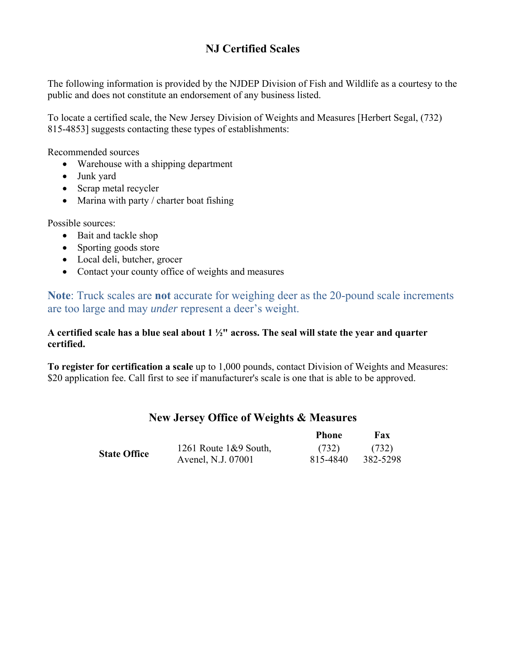# **NJ Certified Scales**

The following information is provided by the NJDEP Division of Fish and Wildlife as a courtesy to the public and does not constitute an endorsement of any business listed.

To locate a certified scale, the New Jersey Division of Weights and Measures [Herbert Segal, (732) 815-4853] suggests contacting these types of establishments:

Recommended sources

- Warehouse with a shipping department
- Junk yard
- Scrap metal recycler
- $\bullet$  Marina with party / charter boat fishing

Possible sources:

- Bait and tackle shop
- Sporting goods store
- Local deli, butcher, grocer
- Contact your county office of weights and measures

**Note**: Truck scales are **not** accurate for weighing deer as the 20-pound scale increments are too large and may *under* represent a deer's weight.

# **A certified scale has a blue seal about 1 ½" across. The seal will state the year and quarter certified.**

**To register for certification a scale** up to 1,000 pounds, contact Division of Weights and Measures: \$20 application fee. Call first to see if manufacturer's scale is one that is able to be approved.

|                     |                          | <b>Phone</b> | Fax               |
|---------------------|--------------------------|--------------|-------------------|
| <b>State Office</b> | 1261 Route $1\&9$ South, | (732)        | (732)<br>382-5298 |
|                     | Avenel, N.J. 07001       | 815-4840     |                   |

# **New Jersey Office of Weights & Measures**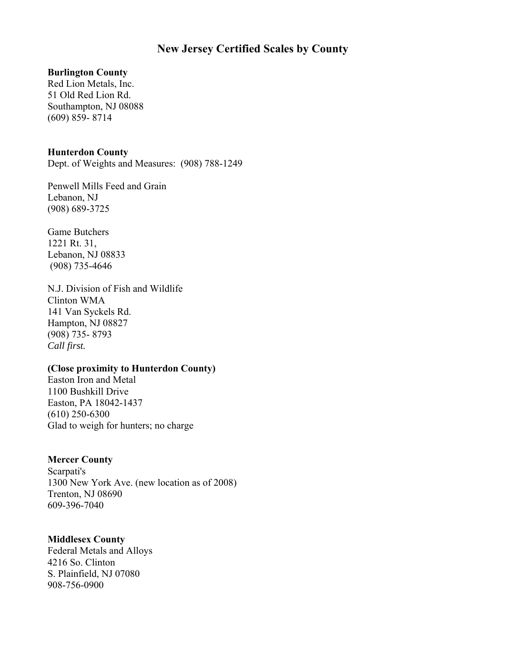# **New Jersey Certified Scales by County**

### **Burlington County**

Red Lion Metals, Inc. 51 Old Red Lion Rd. Southampton, NJ 08088 (609) 859- 8714

## **Hunterdon County**

Dept. of Weights and Measures: (908) 788-1249

Penwell Mills Feed and Grain Lebanon, NJ (908) 689-3725

Game Butchers 1221 Rt. 31, Lebanon, NJ 08833 (908) 735-4646

N.J. Division of Fish and Wildlife Clinton WMA 141 Van Syckels Rd. Hampton, NJ 08827 (908) 735- 8793 *Call first.* 

## **(Close proximity to Hunterdon County)**

Easton Iron and Metal 1100 Bushkill Drive Easton, PA 18042-1437 (610) 250-6300 Glad to weigh for hunters; no charge

# **Mercer County**

Scarpati's 1300 New York Ave. (new location as of 2008) Trenton, NJ 08690 609-396-7040

# **Middlesex County**

Federal Metals and Alloys 4216 So. Clinton S. Plainfield, NJ 07080 908-756-0900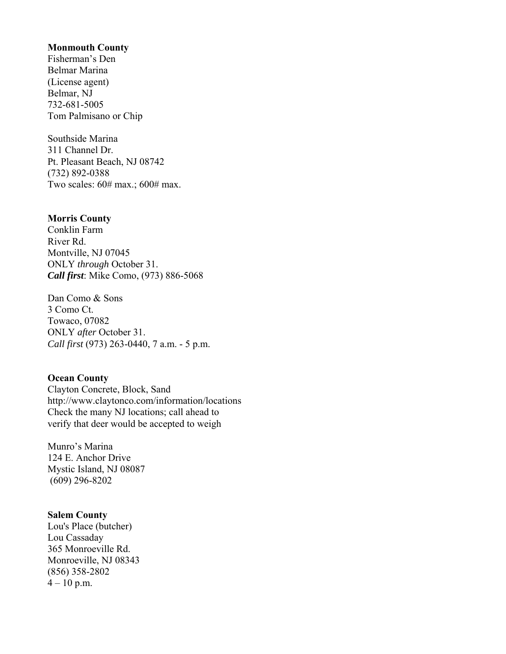#### **Monmouth County**

Fisherman's Den Belmar Marina (License agent) Belmar, NJ 732-681-5005 Tom Palmisano or Chip

Southside Marina 311 Channel Dr. Pt. Pleasant Beach, NJ 08742 (732) 892-0388 Two scales: 60# max.; 600# max.

## **Morris County**

Conklin Farm River Rd. Montville, NJ 07045 ONLY *through* October 31. *Call first*: Mike Como, (973) 886-5068

Dan Como & Sons 3 Como Ct. Towaco, 07082 ONLY *after* October 31. *Call first* (973) 263-0440, 7 a.m. - 5 p.m.

## **Ocean County**

Clayton Concrete, Block, Sand http://www.claytonco.com/information/locations Check the many NJ locations; call ahead to verify that deer would be accepted to weigh

Munro's Marina 124 E. Anchor Drive Mystic Island, NJ 08087 (609) 296-8202

#### **Salem County**

Lou's Place (butcher) Lou Cassaday 365 Monroeville Rd. Monroeville, NJ 08343 (856) 358-2802  $4 - 10$  p.m.